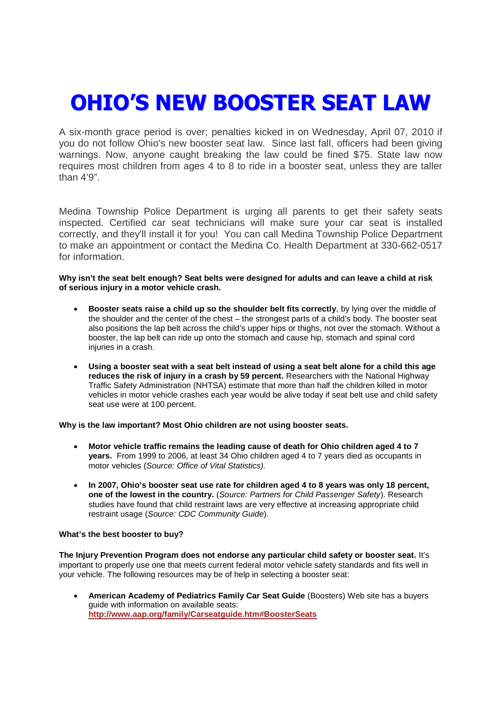## **OHIO'S NEW BOOSTER SEAT LAW**

A six-month grace period is over; penalties kicked in on Wednesday, April 07, 2010 if you do not follow Ohio's new booster seat law. Since last fall, officers had been giving warnings. Now, anyone caught breaking the law could be fined \$75. State law now requires most children from ages 4 to 8 to ride in a booster seat, unless they are taller than 4'9".

Medina Township Police Department is urging all parents to get their safety seats inspected. Certified car seat technicians will make sure your car seat is installed correctly, and they'll install it for you! You can call Medina Township Police Department to make an appointment or contact the Medina Co. Health Department at 330-662-0517 for information.

**Why isn't the seat belt enough? Seat belts were designed for adults and can leave a child at risk of serious injury in a motor vehicle crash.**

- **Booster seats raise a child up so the shoulder belt fits correctly**, by lying over the middle of the shoulder and the center of the chest – the strongest parts of a child's body. The booster seat also positions the lap belt across the child's upper hips or thighs, not over the stomach. Without a booster, the lap belt can ride up onto the stomach and cause hip, stomach and spinal cord injuries in a crash.
- **Using a booster seat with a seat belt instead of using a seat belt alone for a child this age reduces the risk of injury in a crash by 59 percent.** Researchers with the National Highway Traffic Safety Administration (NHTSA) estimate that more than half the children killed in motor vehicles in motor vehicle crashes each year would be alive today if seat belt use and child safety seat use were at 100 percent.

**Why is the law important? Most Ohio children are not using booster seats***.*

- **Motor vehicle traffic remains the leading cause of death for Ohio children aged 4 to 7 years.** From 1999 to 2006, at least 34 Ohio children aged 4 to 7 years died as occupants in motor vehicles (*Source: Office of Vital Statistics).*
- **In 2007, Ohio's booster seat use rate for children aged 4 to 8 years was only 18 percent, one of the lowest in the country.** (*Source: Partners for Child Passenger Safety*). Research studies have found that child restraint laws are very effective at increasing appropriate child restraint usage (*Source: CDC Community Guide*).

## **What's the best booster to buy?**

**The Injury Prevention Program does not endorse any particular child safety or booster seat.** It's important to properly use one that meets current federal motor vehicle safety standards and fits well in your vehicle. The following resources may be of help in selecting a booster seat:

 **American Academy of Pediatrics Family Car Seat Guide** (Boosters) Web site has a buyers guide with information on available seats: **http://www.aap.org/family/Carseatguide.htm#BoosterSeats**